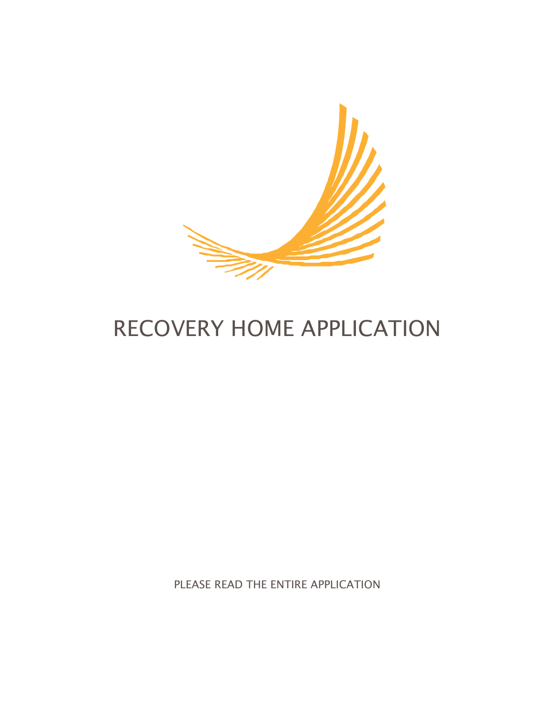

# RECOVERY HOME APPLICATION

PLEASE READ THE ENTIRE APPLICATION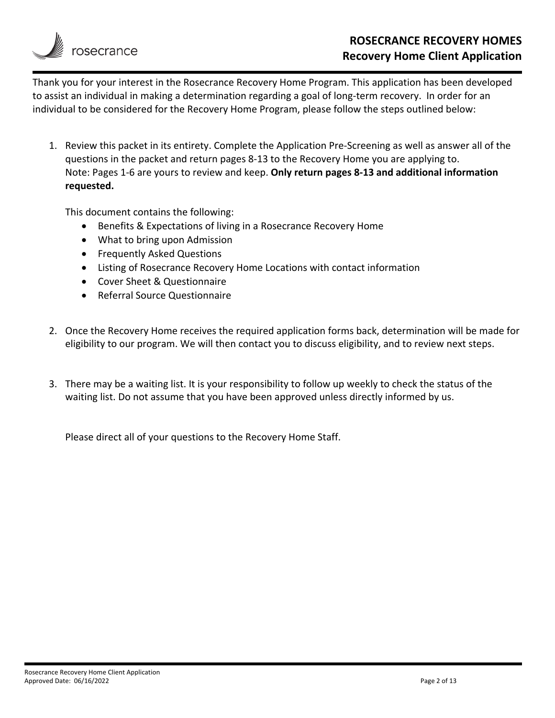

Thank you for your interest in the Rosecrance Recovery Home Program. This application has been developed to assist an individual in making a determination regarding a goal of long-term recovery. In order for an individual to be considered for the Recovery Home Program, please follow the steps outlined below:

1. Review this packet in its entirety. Complete the Application Pre‐Screening as well as answer all of the questions in the packet and return pages 8‐13 to the Recovery Home you are applying to. Note: Pages 1‐6 are yours to review and keep. **Only return pages 8‐13 and additional information requested.**

This document contains the following:

- Benefits & Expectations of living in a Rosecrance Recovery Home
- What to bring upon Admission
- **•** Frequently Asked Questions
- Listing of Rosecrance Recovery Home Locations with contact information
- Cover Sheet & Questionnaire
- Referral Source Questionnaire
- 2. Once the Recovery Home receives the required application forms back, determination will be made for eligibility to our program. We will then contact you to discuss eligibility, and to review next steps.
- 3. There may be a waiting list. It is your responsibility to follow up weekly to check the status of the waiting list. Do not assume that you have been approved unless directly informed by us.

Please direct all of your questions to the Recovery Home Staff.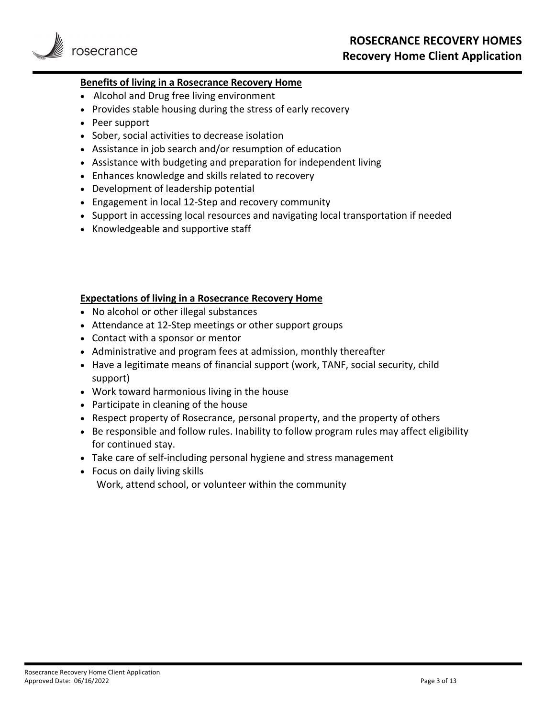

### **Benefits of living in a Rosecrance Recovery Home**

- Alcohol and Drug free living environment
- Provides stable housing during the stress of early recovery
- Peer support
- Sober, social activities to decrease isolation
- Assistance in job search and/or resumption of education
- Assistance with budgeting and preparation for independent living
- Enhances knowledge and skills related to recovery
- Development of leadership potential
- Engagement in local 12‐Step and recovery community
- Support in accessing local resources and navigating local transportation if needed
- Knowledgeable and supportive staff

### **Expectations of living in a Rosecrance Recovery Home**

- No alcohol or other illegal substances
- Attendance at 12‐Step meetings or other support groups
- Contact with a sponsor or mentor
- Administrative and program fees at admission, monthly thereafter
- Have a legitimate means of financial support (work, TANF, social security, child support)
- Work toward harmonious living in the house
- Participate in cleaning of the house
- Respect property of Rosecrance, personal property, and the property of others
- Be responsible and follow rules. Inability to follow program rules may affect eligibility for continued stay.
- Take care of self-including personal hygiene and stress management
- Focus on daily living skills Work, attend school, or volunteer within the community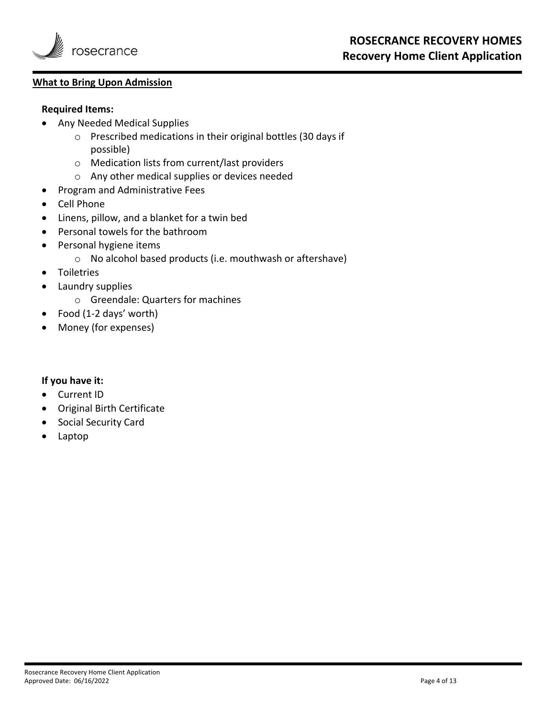

### **What to Bring Upon Admission**

### **Required Items:**

- Any Needed Medical Supplies
	- o Prescribed medications in their original bottles (30 days if possible)
	- o Medication lists from current/last providers
	- o Any other medical supplies or devices needed
- Program and Administrative Fees
- Cell Phone
- Linens, pillow, and a blanket for a twin bed
- Personal towels for the bathroom
- Personal hygiene items
	- o No alcohol based products (i.e. mouthwash or aftershave)
- **•** Toiletries
- Laundry supplies
	- o Greendale: Quarters for machines
- Food (1‐2 days' worth)
- Money (for expenses)

### **If you have it:**

- Current ID
- Original Birth Certificate
- **•** Social Security Card
- Laptop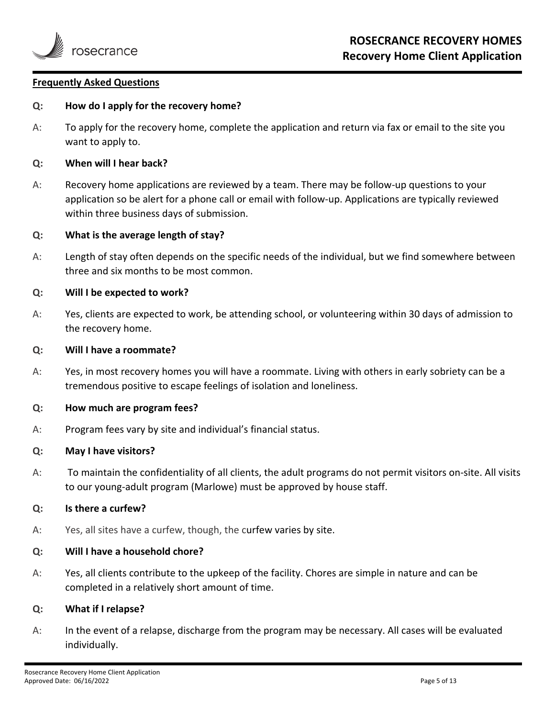

### **Frequently Asked Questions**

### **Q: How do I apply for the recovery home?**

A: To apply for the recovery home, complete the application and return via fax or email to the site you want to apply to.

### **Q: When will I hear back?**

A: Recovery home applications are reviewed by a team. There may be follow‐up questions to your application so be alert for a phone call or email with follow‐up. Applications are typically reviewed within three business days of submission.

### **Q: What is the average length of stay?**

A: Length of stay often depends on the specific needs of the individual, but we find somewhere between three and six months to be most common.

### **Q: Will I be expected to work?**

A: Yes, clients are expected to work, be attending school, or volunteering within 30 days of admission to the recovery home.

### **Q: Will I have a roommate?**

A: Yes, in most recovery homes you will have a roommate. Living with others in early sobriety can be a tremendous positive to escape feelings of isolation and loneliness.

### **Q: How much are program fees?**

A: Program fees vary by site and individual's financial status.

### **Q: May I have visitors?**

A: To maintain the confidentiality of all clients, the adult programs do not permit visitors on‐site. All visits to our young‐adult program (Marlowe) must be approved by house staff.

### **Q: Is there a curfew?**

A: Yes, all sites have a curfew, though, the curfew varies by site.

### **Q: Will I have a household chore?**

A: Yes, all clients contribute to the upkeep of the facility. Chores are simple in nature and can be completed in a relatively short amount of time.

### **Q: What if I relapse?**

A: In the event of a relapse, discharge from the program may be necessary. All cases will be evaluated individually.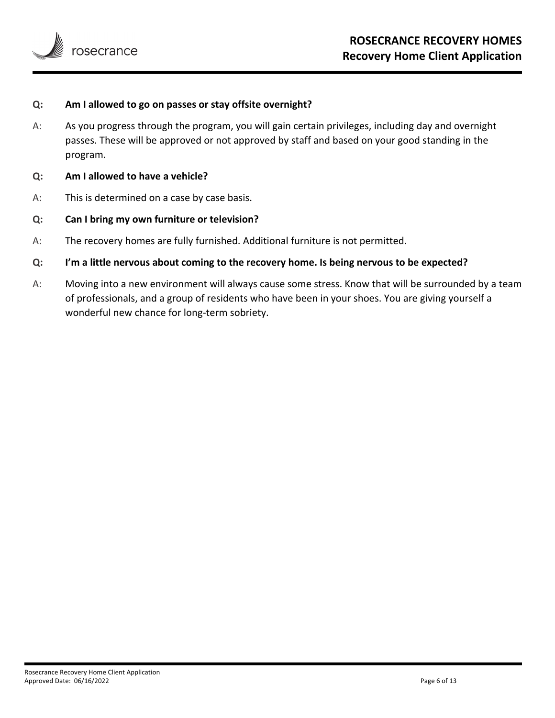

### **Q: Am I allowed to go on passes or stay offsite overnight?**

- A: As you progress through the program, you will gain certain privileges, including day and overnight passes. These will be approved or not approved by staff and based on your good standing in the program.
- **Q: Am I allowed to have a vehicle?**
- A: This is determined on a case by case basis.
- **Q: Can I bring my own furniture or television?**
- A: The recovery homes are fully furnished. Additional furniture is not permitted.
- **Q: I'm a little nervous about coming to the recovery home. Is being nervous to be expected?**
- A: Moving into a new environment will always cause some stress. Know that will be surrounded by a team of professionals, and a group of residents who have been in your shoes. You are giving yourself a wonderful new chance for long-term sobriety.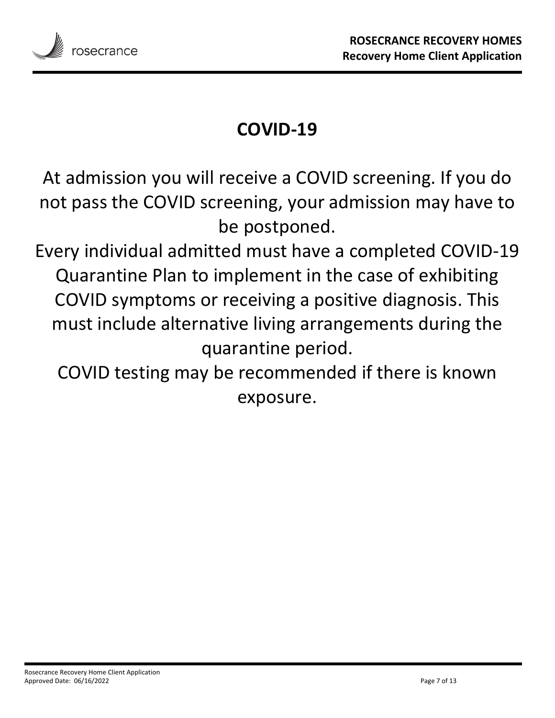

# **COVID‐19**

At admission you will receive a COVID screening. If you do not pass the COVID screening, your admission may have to be postponed.

Every individual admitted must have a completed COVID‐19 Quarantine Plan to implement in the case of exhibiting COVID symptoms or receiving a positive diagnosis. This must include alternative living arrangements during the quarantine period.

COVID testing may be recommended if there is known exposure.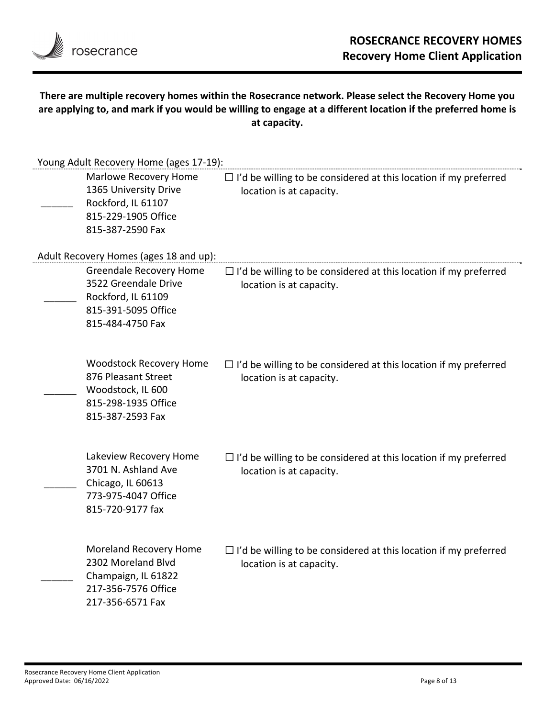

### **There are multiple recovery homes within the Rosecrance network. Please select the Recovery Home you** are applying to, and mark if you would be willing to engage at a different location if the preferred home is **at capacity.**

| Young Adult Recovery Home (ages 17-19): |                                                                                                                         |                                                                                                     |  |  |
|-----------------------------------------|-------------------------------------------------------------------------------------------------------------------------|-----------------------------------------------------------------------------------------------------|--|--|
|                                         | Marlowe Recovery Home<br>1365 University Drive<br>Rockford, IL 61107<br>815-229-1905 Office<br>815-387-2590 Fax         | $\Box$ I'd be willing to be considered at this location if my preferred<br>location is at capacity. |  |  |
|                                         | Adult Recovery Homes (ages 18 and up):                                                                                  |                                                                                                     |  |  |
|                                         | <b>Greendale Recovery Home</b><br>3522 Greendale Drive<br>Rockford, IL 61109<br>815-391-5095 Office<br>815-484-4750 Fax | $\Box$ I'd be willing to be considered at this location if my preferred<br>location is at capacity. |  |  |
|                                         | <b>Woodstock Recovery Home</b><br>876 Pleasant Street<br>Woodstock, IL 600<br>815-298-1935 Office<br>815-387-2593 Fax   | $\Box$ I'd be willing to be considered at this location if my preferred<br>location is at capacity. |  |  |
|                                         | Lakeview Recovery Home<br>3701 N. Ashland Ave<br>Chicago, IL 60613<br>773-975-4047 Office<br>815-720-9177 fax           | $\Box$ I'd be willing to be considered at this location if my preferred<br>location is at capacity. |  |  |
|                                         | Moreland Recovery Home<br>2302 Moreland Blvd<br>Champaign, IL 61822<br>217-356-7576 Office<br>217-356-6571 Fax          | $\Box$ I'd be willing to be considered at this location if my preferred<br>location is at capacity. |  |  |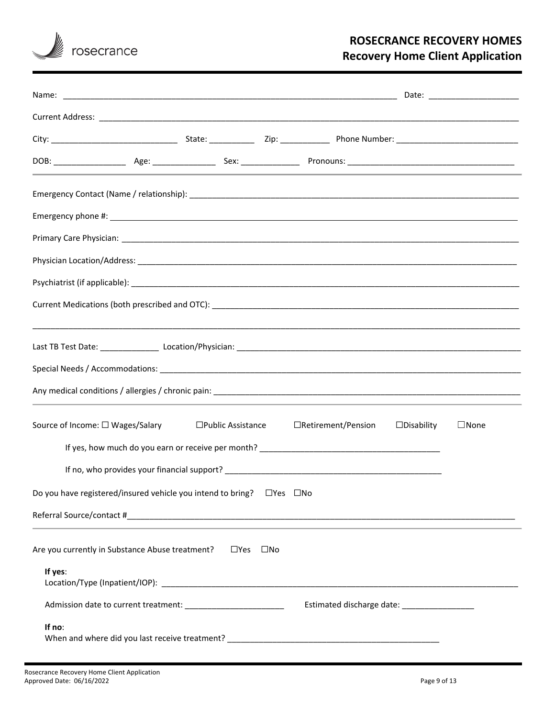

# **ROSECRANCE RECOVERY HOMES Recovery Home Client Application**

| Source of Income: □ Wages/Salary |                                                                        | $\square$ Public Assistance | $\Box$ Retirement/Pension                     | $\Box$ Disability | $\Box$ None |
|----------------------------------|------------------------------------------------------------------------|-----------------------------|-----------------------------------------------|-------------------|-------------|
|                                  |                                                                        |                             |                                               |                   |             |
|                                  |                                                                        |                             |                                               |                   |             |
|                                  | Do you have registered/insured vehicle you intend to bring? □ Yes □ No |                             |                                               |                   |             |
|                                  |                                                                        |                             |                                               |                   |             |
|                                  | Are you currently in Substance Abuse treatment? □ Yes □ No             |                             |                                               |                   |             |
| If yes:                          |                                                                        |                             |                                               |                   |             |
|                                  |                                                                        |                             | Estimated discharge date: ___________________ |                   |             |
| If no:                           |                                                                        |                             |                                               |                   |             |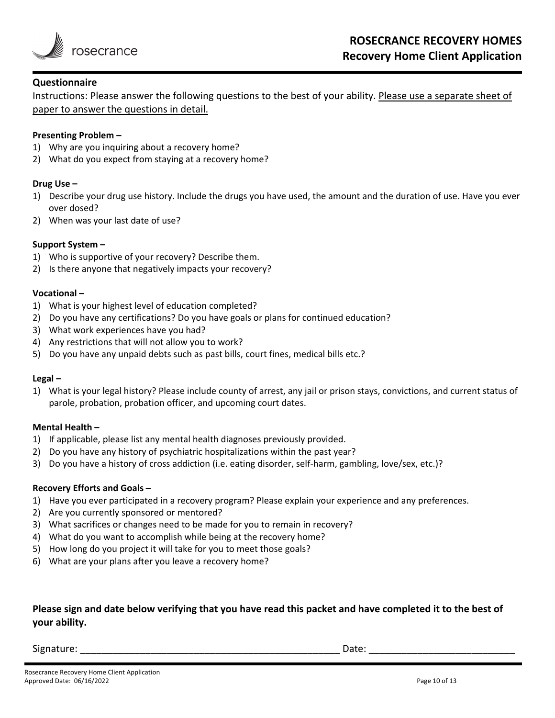

### **Questionnaire**

Instructions: Please answer the following questions to the best of your ability. Please use a separate sheet of paper to answer the questions in detail.

### **Presenting Problem –**

- 1) Why are you inquiring about a recovery home?
- 2) What do you expect from staying at a recovery home?

### **Drug Use –**

- 1) Describe your drug use history. Include the drugs you have used, the amount and the duration of use. Have you ever over dosed?
- 2) When was your last date of use?

### **Support System –**

- 1) Who is supportive of your recovery? Describe them.
- 2) Is there anyone that negatively impacts your recovery?

### **Vocational –**

- 1) What is your highest level of education completed?
- 2) Do you have any certifications? Do you have goals or plans for continued education?
- 3) What work experiences have you had?
- 4) Any restrictions that will not allow you to work?
- 5) Do you have any unpaid debts such as past bills, court fines, medical bills etc.?

### **Legal –**

1) What is your legal history? Please include county of arrest, any jail or prison stays, convictions, and current status of parole, probation, probation officer, and upcoming court dates.

### **Mental Health –**

- 1) If applicable, please list any mental health diagnoses previously provided.
- 2) Do you have any history of psychiatric hospitalizations within the past year?
- 3) Do you have a history of cross addiction (i.e. eating disorder, self-harm, gambling, love/sex, etc.)?

### **Recovery Efforts and Goals –**

- 1) Have you ever participated in a recovery program? Please explain your experience and any preferences.
- 2) Are you currently sponsored or mentored?
- 3) What sacrifices or changes need to be made for you to remain in recovery?
- 4) What do you want to accomplish while being at the recovery home?
- 5) How long do you project it will take for you to meet those goals?
- 6) What are your plans after you leave a recovery home?

### Please sign and date below verifying that you have read this packet and have completed it to the best of **your ability.**

Signature: \_\_\_\_\_\_\_\_\_\_\_\_\_\_\_\_\_\_\_\_\_\_\_\_\_\_\_\_\_\_\_\_\_\_\_\_\_\_\_\_\_\_\_\_\_\_\_\_ Date: \_\_\_\_\_\_\_\_\_\_\_\_\_\_\_\_\_\_\_\_\_\_\_\_\_\_\_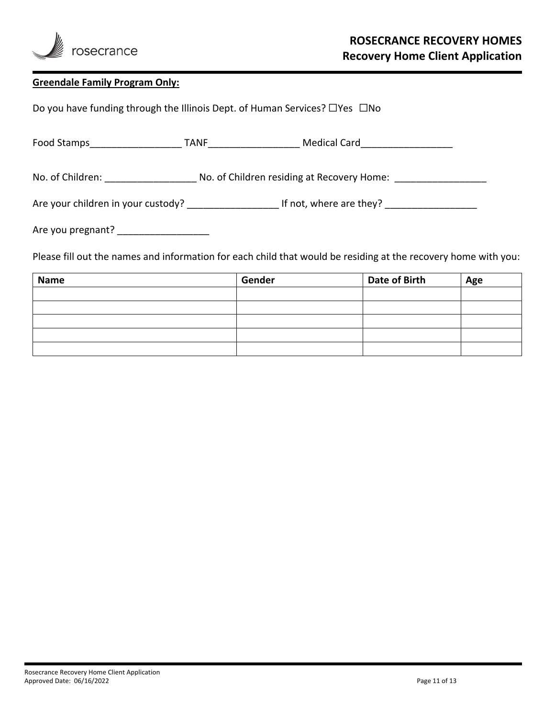

### **Greendale Family Program Only:**

Do you have funding through the Illinois Dept. of Human Services? □Yes □No

Food Stamps\_\_\_\_\_\_\_\_\_\_\_\_\_\_\_\_\_ TANF\_\_\_\_\_\_\_\_\_\_\_\_\_\_\_\_\_ Medical Card\_\_\_\_\_\_\_\_\_\_\_\_\_\_\_\_\_

No. of Children: \_\_\_\_\_\_\_\_\_\_\_\_\_\_\_\_\_\_\_\_\_\_\_ No. of Children residing at Recovery Home: \_\_\_\_\_\_\_\_\_\_\_\_\_\_\_

Are your children in your custody? \_\_\_\_\_\_\_\_\_\_\_\_\_\_\_\_\_ If not, where are they? \_\_\_\_\_\_\_\_\_\_\_\_\_\_\_\_\_

Are you pregnant? \_\_\_\_\_\_\_\_\_\_\_\_\_\_\_\_\_

Please fill out the names and information for each child that would be residing at the recovery home with you:

| <b>Name</b> | Gender | Date of Birth | Age |
|-------------|--------|---------------|-----|
|             |        |               |     |
|             |        |               |     |
|             |        |               |     |
|             |        |               |     |
|             |        |               |     |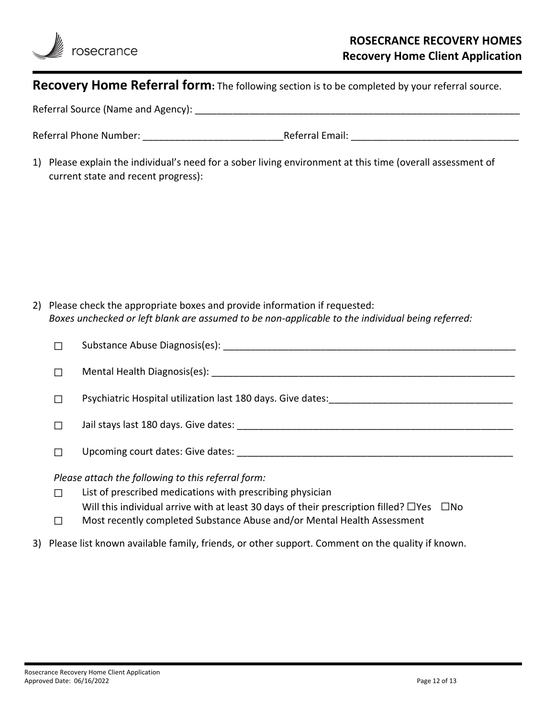

## **Recovery Home Referral form:** The following section is to be completed by your referral source.

Referral Source (Name and Agency):

| <b>Referral Phone Number:</b> | Referral Email: |  |
|-------------------------------|-----------------|--|
|                               |                 |  |

1) Please explain the individual's need for a sober living environment at this time (overall assessment of current state and recent progress):

2) Please check the appropriate boxes and provide information if requested: *Boxes unchecked or left blank are assumed to be non‐applicable to the individual being referred:* 

| П                                                  | Substance Abuse Diagnosis(es):                                                                             |  |  |
|----------------------------------------------------|------------------------------------------------------------------------------------------------------------|--|--|
| П                                                  |                                                                                                            |  |  |
| $\Box$                                             | Psychiatric Hospital utilization last 180 days. Give dates:                                                |  |  |
| П                                                  |                                                                                                            |  |  |
|                                                    | Upcoming court dates: Give dates:                                                                          |  |  |
| Please attach the following to this referral form: |                                                                                                            |  |  |
| П                                                  | List of prescribed medications with prescribing physician                                                  |  |  |
|                                                    | Will this individual arrive with at least 30 days of their prescription filled? $\Box$ Yes<br>$\square$ No |  |  |

- □ Most recently completed Substance Abuse and/or Mental Health Assessment
- 3) Please list known available family, friends, or other support. Comment on the quality if known.